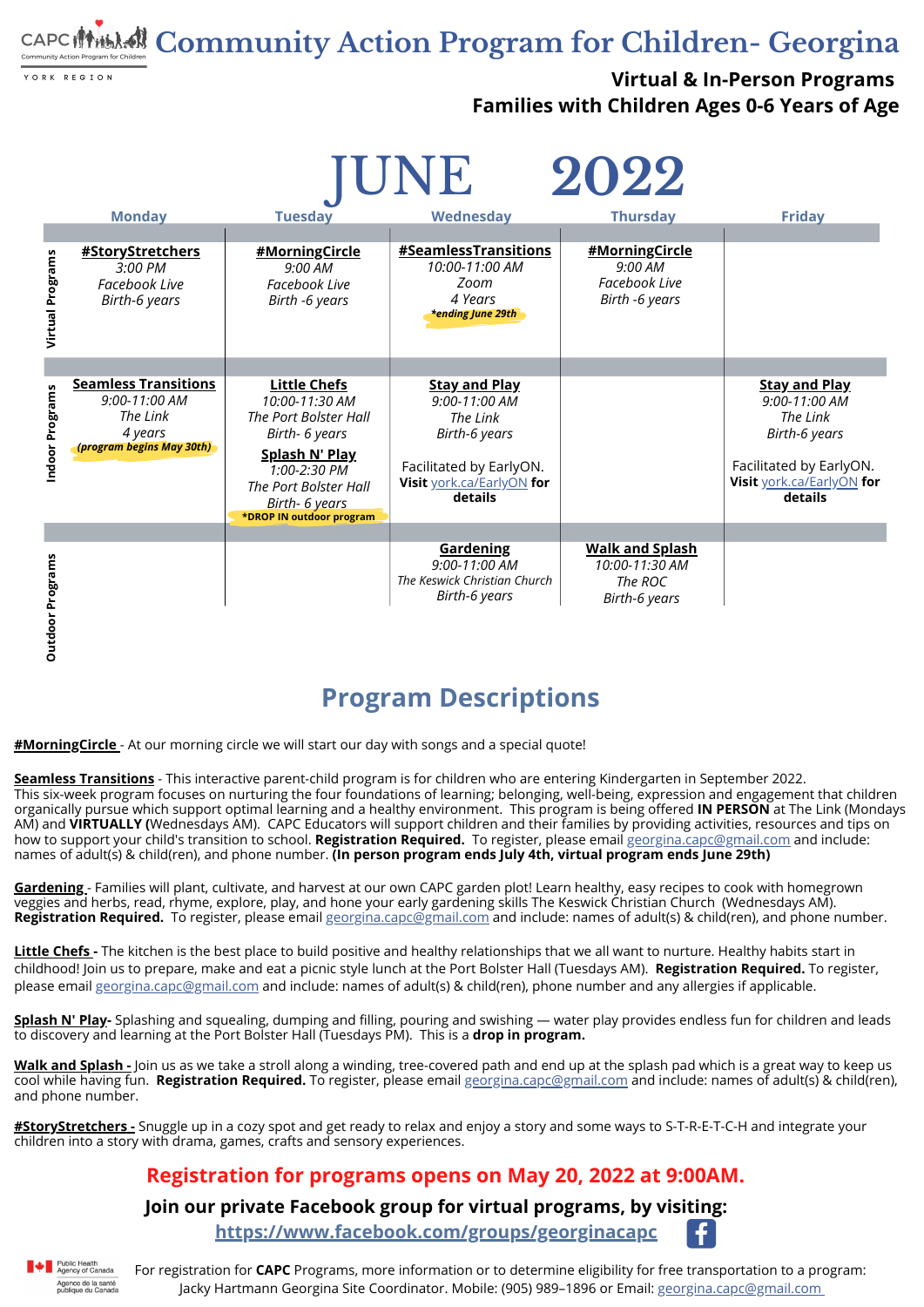For registration for **CAPC** Programs, more information or to determine eligibility for free transportation to a program: Jacky Hartmann Georgina Site Coordinator. Mobile: (905) 989-1896 or Email: [georgina.](http://gmail.com/)[capc](mailto:georgina.capc@gmail.com)[@gmail.com](http://gmail.com/)

**Community Action Program for Children- Georgina**

YORK REGION

**Virtual & In-Person Programs Families with Children Ages 0-6 Years of Age**

#### **Join our private Facebook group for virtual programs, by visiting:**

**<https://www.facebook.com/groups/georginacapc>**



#### **Registration for programs opens on May 20, 2022 at 9:00AM.**

# **Program Descriptions**

**#MorningCircle** - At our morning circle we will start our day with songs and a special quote!

**Little [Chefs](mailto:georgina.capc@gmail.com) -** The kitchen is the best place to build positive and healthy relationships that we all want to nurture. Healthy habits start in childhood! Join us to prepare, make and eat a picnic style lunch at the Port Bolster Hall [\(Tuesdays](https://www.facebook.com/hashtag/MotherEarthMonday/?__gid__=375811973311481) AM). **[R](https://www.facebook.com/hashtag/MotherEarthMonday/?__gid__=375811973311481)egistration Required.** To register, please email [georgina.capc@gmail.com](mailto:georgina.capc@gmail.com) and include: names of adult(s) & child(ren), phone number and any allergies if applicable.

**Seamless [Transitions](mailto:georgina.capc@gmail.com)** - This interactive parent-child program is for children who are entering Kindergarten in September 2022. This six-week program focuses on nurturing the four foundations of learning; belonging, well-being, expression and engagement that children organically pursue which support optimal learning and a healthy environment. This program is being offered **IN PERSON** at The Link (Mondays AM) and **VIRTUALLY (**Wednesdays AM). CAPC [Ed](https://www.facebook.com/hashtag/MotherEarthMonday/?__gid__=375811973311481)ucators will support children and their families by providing activities, resources and tips on how to support your child's transition to school. **Registration Required.** To register, please email [georgina.capc@gmail.com](mailto:georgina.capc@gmail.com) and include: names of adult(s) & child(ren), and phone number. **(In person program ends July 4th, virtual program ends June 29th)**

| 2022<br>UNE             |                                                                                                  |                                                                                                                                                                                                         |                                                                                                                                       |                                                                             |                                                                                                                                       |
|-------------------------|--------------------------------------------------------------------------------------------------|---------------------------------------------------------------------------------------------------------------------------------------------------------------------------------------------------------|---------------------------------------------------------------------------------------------------------------------------------------|-----------------------------------------------------------------------------|---------------------------------------------------------------------------------------------------------------------------------------|
|                         | <b>Monday</b>                                                                                    | <b>Tuesday</b>                                                                                                                                                                                          | Wednesday                                                                                                                             | <b>Thursday</b>                                                             | <b>Friday</b>                                                                                                                         |
| <b>Virtual Programs</b> | <b>#StoryStretchers</b><br>3:00 PM<br>Facebook Live<br>Birth-6 years                             | #MorningCircle<br>9:00 AM<br><b>Facebook Live</b><br>Birth -6 years                                                                                                                                     | <b>#SeamlessTransitions</b><br>10:00-11:00 AM<br>Zoom<br>4 Years<br><b>*ending June 29th</b>                                          | #MorningCircle<br>9:00 AM<br>Facebook Live<br>Birth -6 years                |                                                                                                                                       |
| Indoor Programs         | <b>Seamless Transitions</b><br>9:00-11:00 AM<br>The Link<br>4 years<br>(program begins May 30th) | <u>Little Chefs</u><br>10:00-11:30 AM<br>The Port Bolster Hall<br>Birth- 6 years<br><b>Splash N' Play</b><br>1:00-2:30 PM<br>The Port Bolster Hall<br><b>Birth- 6 years</b><br>*DROP IN outdoor program | <b>Stay and Play</b><br>9:00-11:00 AM<br>The Link<br>Birth-6 years<br>Facilitated by EarlyON.<br>Visit york.ca/EarlyON for<br>details |                                                                             | <b>Stay and Play</b><br>9:00-11:00 AM<br>The Link<br>Birth-6 years<br>Facilitated by EarlyON.<br>Visit york.ca/EarlyON for<br>details |
| <b>Outdoor Programs</b> |                                                                                                  |                                                                                                                                                                                                         | <b>Gardening</b><br>9:00-11:00 AM<br>The Keswick Christian Church<br>Birth-6 years                                                    | <b>Walk and Splash</b><br>10:00-11:30 AM<br>The ROC<br><b>Birth-6 years</b> |                                                                                                                                       |

**[Gardening](https://www.facebook.com/groups/GeorginaCAPC)** - Families will plant, cultivate, and harvest at our own CAPC garden plot! Learn healthy, easy recipes t[o](https://www.facebook.com/hashtag/MotherEarthMonday/?__gid__=375811973311481) cook with homegrown veggies and herbs, read, rhyme, explore, play, and hone your early gardening skills The Keswick [Christian](https://www.facebook.com/hashtag/MotherEarthMonday/?__gid__=375811973311481) Church [\(Wednesdays](https://www.facebook.com/hashtag/MotherEarthMonday/?__gid__=375811973311481) AM). **Registration Required.** To register, please email [georgina.capc@gmail.com](mailto:georgina.capc@gmail.com) and include: names of adult(s) & child(ren), and phone number.

**Splash N' Play-** Splashing and squealing, dumping and filling, pouring and swishing — water play provides endless fun for children and leads to discovery and learning at the Port Bolster Hall (Tuesdays PM). This is a **drop in program.**

**Walk and [Splash](mailto:georgina.capc@gmail.com) -** Join us as we take a stroll along a winding, tree-covered path and end up at the splash pad which is a great way to keep us cool while having fun. **Registration Required.** To register, please email [georgina.capc@gmail.com](mailto:georgina.capc@gmail.com) and include: names of adult(s) & child(ren), and phone number.

**[#StoryStretchers](https://www.facebook.com/groups/GeorginaCAPC) -** Snuggle up in a cozy spot and get ready to relax and enjoy a story and some ways to S-T-R-E-T-C-H and integrate your children into a story with drama, games, crafts and sensory experiences.